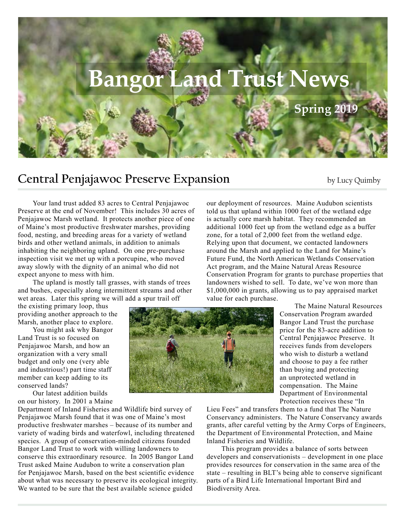

## **Central Penjajawoc Preserve Expansion** by Lucy Quimby

Your land trust added 83 acres to Central Penjajawoc Preserve at the end of November! This includes 30 acres of Penjajawoc Marsh wetland. It protects another piece of one of Maine's most productive freshwater marshes, providing food, nesting, and breeding areas for a variety of wetland birds and other wetland animals, in addition to animals inhabiting the neighboring upland. On one pre-purchase inspection visit we met up with a porcupine, who moved away slowly with the dignity of an animal who did not expect anyone to mess with him.

The upland is mostly tall grasses, with stands of trees and bushes, especially along intermittent streams and other wet areas. Later this spring we will add a spur trail off

the existing primary loop, thus providing another approach to the Marsh, another place to explore.

You might ask why Bangor Land Trust is so focused on Penjajawoc Marsh, and how an organization with a very small budget and only one (very able and industrious!) part time staff member can keep adding to its conserved lands?

Our latest addition builds on our history. In 2001 a Maine

Department of Inland Fisheries and Wildlife bird survey of Penjajawoc Marsh found that it was one of Maine's most productive freshwater marshes – because of its number and variety of wading birds and waterfowl, including threatened species. A group of conservation-minded citizens founded Bangor Land Trust to work with willing landowners to conserve this extraordinary resource. In 2005 Bangor Land Trust asked Maine Audubon to write a conservation plan for Penjajawoc Marsh, based on the best scientific evidence about what was necessary to preserve its ecological integrity. We wanted to be sure that the best available science guided

our deployment of resources. Maine Audubon scientists told us that upland within 1000 feet of the wetland edge is actually core marsh habitat. They recommended an additional 1000 feet up from the wetland edge as a buffer zone, for a total of 2,000 feet from the wetland edge. Relying upon that document, we contacted landowners around the Marsh and applied to the Land for Maine's Future Fund, the North American Wetlands Conservation Act program, and the Maine Natural Areas Resource Conservation Program for grants to purchase properties that landowners wished to sell. To date, we've won more than \$1,000,000 in grants, allowing us to pay appraised market value for each purchase.



The Maine Natural Resources Conservation Program awarded Bangor Land Trust the purchase price for the 83-acre addition to Central Penjajawoc Preserve. It receives funds from developers who wish to disturb a wetland and choose to pay a fee rather than buying and protecting an unprotected wetland in compensation. The Maine Department of Environmental Protection receives these "In

Lieu Fees" and transfers them to a fund that The Nature Conservancy administers. The Nature Conservancy awards grants, after careful vetting by the Army Corps of Engineers, the Department of Environmental Protection, and Maine Inland Fisheries and Wildlife.

This program provides a balance of sorts between developers and conservationists – development in one place provides resources for conservation in the same area of the state – resulting in BLT's being able to conserve significant parts of a Bird Life International Important Bird and Biodiversity Area.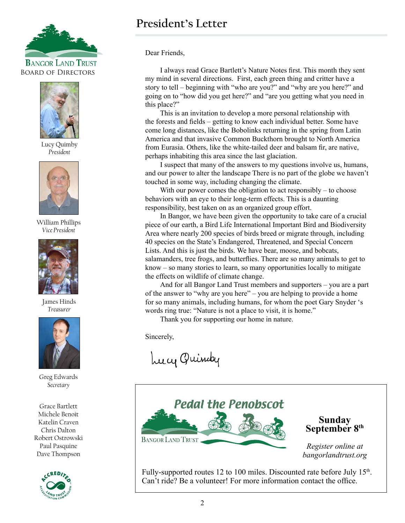



Lucy Quimby *President*



William Phillips *Vice President*



James Hinds *Treasurer*



Greg Edwards *Secretary*

Grace Bartlett Michele Benoit Katelin Craven Chris Dalton Robert Ostrowski Paul Pasquine Dave Thompson



## **President's Letter**

Dear Friends,

I always read Grace Bartlett's Nature Notes first. This month they sent my mind in several directions. First, each green thing and critter have a story to tell – beginning with "who are you?" and "why are you here?" and going on to "how did you get here?" and "are you getting what you need in this place?"

This is an invitation to develop a more personal relationship with the forests and fields – getting to know each individual better. Some have come long distances, like the Bobolinks returning in the spring from Latin America and that invasive Common Buckthorn brought to North America from Eurasia. Others, like the white-tailed deer and balsam fir, are native, perhaps inhabiting this area since the last glaciation.

I suspect that many of the answers to my questions involve us, humans, and our power to alter the landscape There is no part of the globe we haven't touched in some way, including changing the climate.

With our power comes the obligation to act responsibly – to choose behaviors with an eye to their long-term effects. This is a daunting responsibility, best taken on as an organized group effort.

In Bangor, we have been given the opportunity to take care of a crucial piece of our earth, a Bird Life International Important Bird and Biodiversity Area where nearly 200 species of birds breed or migrate through, including 40 species on the State's Endangered, Threatened, and Special Concern Lists. And this is just the birds. We have bear, moose, and bobcats, salamanders, tree frogs, and butterflies. There are so many animals to get to know – so many stories to learn, so many opportunities locally to mitigate the effects on wildlife of climate change.

And for all Bangor Land Trust members and supporters – you are a part of the answer to "why are you here" – you are helping to provide a home for so many animals, including humans, for whom the poet Gary Snyder 's words ring true: "Nature is not a place to visit, it is home."

Thank you for supporting our home in nature.

Sincerely,

Lucy Quindy



Fully-supported routes 12 to 100 miles. Discounted rate before July 15<sup>th</sup>. Can't ride? Be a volunteer! For more information contact the office.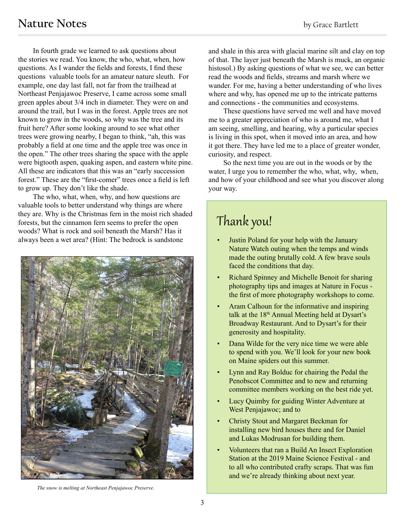In fourth grade we learned to ask questions about the stories we read. You know, the who, what, when, how questions. As I wander the fields and forests, I find these questions valuable tools for an amateur nature sleuth. For example, one day last fall, not far from the trailhead at Northeast Penjajawoc Preserve, I came across some small green apples about 3/4 inch in diameter. They were on and around the trail, but I was in the forest. Apple trees are not known to grow in the woods, so why was the tree and its fruit here? After some looking around to see what other trees were growing nearby, I began to think, "ah, this was probably a field at one time and the apple tree was once in the open." The other trees sharing the space with the apple were bigtooth aspen, quaking aspen, and eastern white pine. All these are indicators that this was an "early succession forest." These are the "first-comer" trees once a field is left to grow up. They don't like the shade.

The who, what, when, why, and how questions are valuable tools to better understand why things are where they are. Why is the Christmas fern in the moist rich shaded forests, but the cinnamon fern seems to prefer the open woods? What is rock and soil beneath the Marsh? Has it always been a wet area? (Hint: The bedrock is sandstone



and shale in this area with glacial marine silt and clay on top of that. The layer just beneath the Marsh is muck, an organic histosol.) By asking questions of what we see, we can better read the woods and fields, streams and marsh where we wander. For me, having a better understanding of who lives where and why, has opened me up to the intricate patterns and connections - the communities and ecosystems.

These questions have served me well and have moved me to a greater appreciation of who is around me, what I am seeing, smelling, and hearing, why a particular species is living in this spot, when it moved into an area, and how it got there. They have led me to a place of greater wonder, curiosity, and respect.

So the next time you are out in the woods or by the water, I urge you to remember the who, what, why, when, and how of your childhood and see what you discover along your way.

# Thank you!

- Justin Poland for your help with the January Nature Watch outing when the temps and winds made the outing brutally cold. A few brave souls faced the conditions that day.
- Richard Spinney and Michelle Benoit for sharing photography tips and images at Nature in Focus the first of more photography workshops to come.
- Aram Calhoun for the informative and inspiring talk at the  $18<sup>th</sup>$  Annual Meeting held at Dysart's Broadway Restaurant. And to Dysart's for their generosity and hospitality.
- Dana Wilde for the very nice time we were able to spend with you. We'll look for your new book on Maine spiders out this summer.
- Lynn and Ray Bolduc for chairing the Pedal the Penobscot Committee and to new and returning committee members working on the best ride yet.
- Lucy Quimby for guiding Winter Adventure at West Penjajawoc; and to
- Christy Stout and Margaret Beckman for installing new bird houses there and for Daniel and Lukas Modrusan for building them.
- Volunteers that ran a Build An Insect Exploration Station at the 2019 Maine Science Festival - and to all who contributed crafty scraps. That was fun and we're already thinking about next year.

*The snow is melting at Northeast Penjajawoc Preserve.*